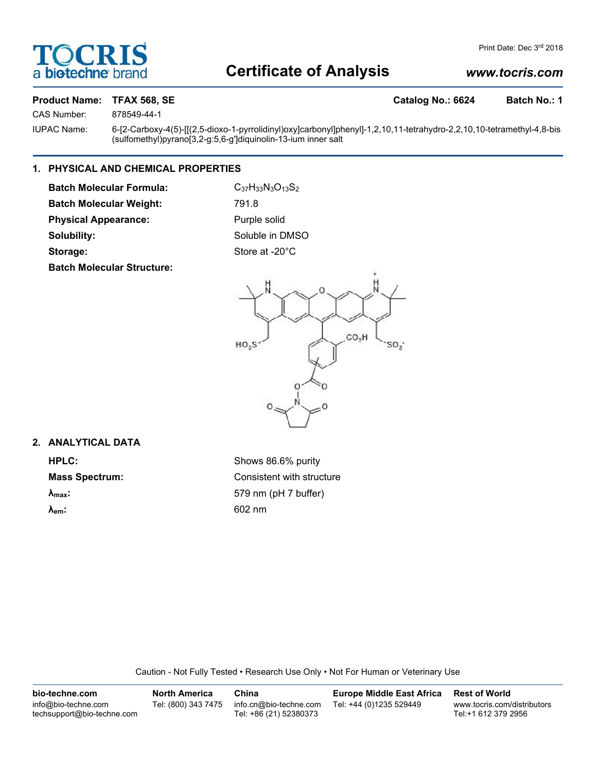

## **Certificate of Analysis**

### *www.tocris.com*

### Product Name: TFAX 568, SE **Catalog No.: 6624** Batch No.: 1

CAS Number: 878549-44-1

IUPAC Name: 6-[2-Carboxy-4(5)-[[(2,5-dioxo-1-pyrrolidinyl)oxy]carbonyl]phenyl]-1,2,10,11-tetrahydro-2,2,10,10-tetramethyl-4,8-bis (sulfomethyl)pyrano[3,2-g:5,6-g']diquinolin-13-ium inner salt

### **1. PHYSICAL AND CHEMICAL PROPERTIES**

**Batch Molecular Formula:** C<sub>37</sub>H<sub>33</sub>N<sub>3</sub>O<sub>13</sub>S<sub>2</sub> **Batch Molecular Weight:** 791.8 Physical Appearance: Purple solid

**Batch Molecular Structure:**

**Solubility:** Soluble in DMSO Storage: Store at -20°C



### **2. ANALYTICAL DATA**

**HPLC:** Shows 86.6% purity **Mass Spectrum:** Consistent with structure **λmax:** 579 nm (pH 7 buffer) **λem:** 602 nm

Caution - Not Fully Tested • Research Use Only • Not For Human or Veterinary Use

| bio-techne.com                                    | <b>North America</b> | China                                            | <b>Europe Middle East Africa</b> | <b>Rest of World</b>                               |
|---------------------------------------------------|----------------------|--------------------------------------------------|----------------------------------|----------------------------------------------------|
| info@bio-techne.com<br>techsupport@bio-techne.com | Tel: (800) 343 7475  | info.cn@bio-techne.com<br>Tel: +86 (21) 52380373 | Tel: +44 (0)1235 529449          | www.tocris.com/distributors<br>Tel:+1 612 379 2956 |